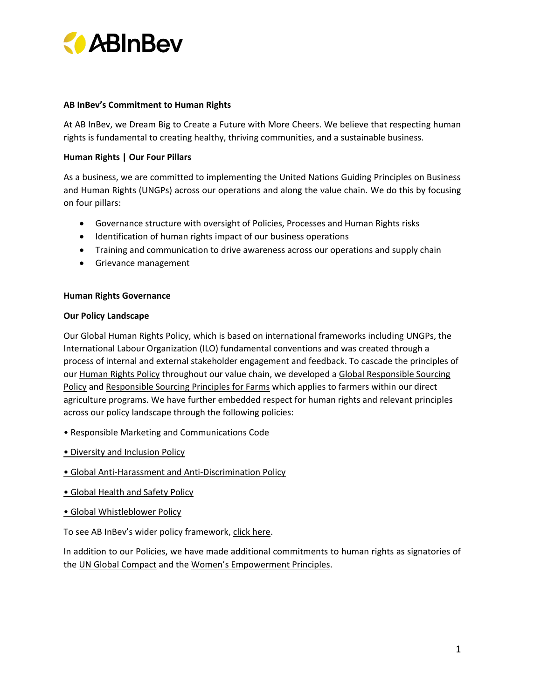

## **AB InBev's Commitment to Human Rights**

At AB InBev, we Dream Big to Create a Future with More Cheers. We believe that respecting human rights is fundamental to creating healthy, thriving communities, and a sustainable business.

## **Human Rights | Our Four Pillars**

As a business, we are committed to implementing the United Nations Guiding Principles on Business and Human Rights (UNGPs) across our operations and along the value chain. We do this by focusing on four pillars:

- Governance structure with oversight of Policies, Processes and Human Rights risks
- Identification of human rights impact of our business operations
- Training and communication to drive awareness across our operations and supply chain
- Grievance management

### **Human Rights Governance**

### **Our Policy Landscape**

Our Global Human Rights Policy, which is based on international frameworks including UNGPs, the International Labour Organization (ILO) fundamental conventions and was created through a process of internal and external stakeholder engagement and feedback. To cascade the principles of our [Human Rights Policy](https://www.ab-inbev.com/our-policies/#humanrightspolicy) throughout our value chain, we developed a Global Responsible Sourcing [Policy](https://www.ab-inbev.com/our-policies/#globalresponsiblesourcingpolicy) and [Responsible Sourcing Principles for Farms](https://www.ab-inbev.com/our-policies/#responsiblesourcingprinciplesforfarms) which applies to farmers within our direct agriculture programs. We have further embedded respect for human rights and relevant principles across our policy landscape through the following policies:

- [Responsible Marketing and Communications Code](https://www.ab-inbev.com/our-policies/#responsiblemarketingcommunicationscode)
- [Diversity and Inclusion Policy](https://www.ab-inbev.com/our-policies/#diversityandinclusionpolicy)
- Global Anti[-Harassment and Anti-Discrimination Policy](https://www.ab-inbev.com/our-policies/#globalantiharassmentantidiscriminationpolicy)
- [Global Health and Safety Policy](https://www.ab-inbev.com/content/dam/universaltemplate/ab-inbev/sustainability/ABI_Responsible_Health_Policy_2014.pdf)
- [Global Whistleblower Policy](https://www.ab-inbev.com/our-policies/#globalwhistleblowerpolicy)

To see AB InBev's wider policy framework, [click here.](https://www.ab-inbev.com/our-policies/)

In addition to our Policies, we have made additional commitments to human rights as signatories of the [UN Global Compact](https://www.unglobalcompact.org/what-is-gc/participants/648-Anheuser-Busch-InBev-NV) and the [Women's Empowerment Principles](https://www.weps.org/companies).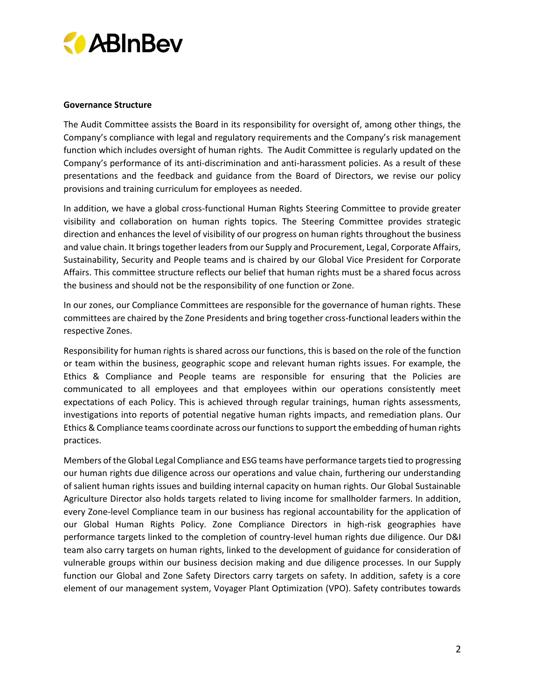

## **Governance Structure**

The Audit Committee assists the Board in its responsibility for oversight of, among other things, the Company's compliance with legal and regulatory requirements and the Company's risk management function which includes oversight of human rights. The Audit Committee is regularly updated on the Company's performance of its anti-discrimination and anti-harassment policies. As a result of these presentations and the feedback and guidance from the Board of Directors, we revise our policy provisions and training curriculum for employees as needed.

In addition, we have a global cross-functional Human Rights Steering Committee to provide greater visibility and collaboration on human rights topics. The Steering Committee provides strategic direction and enhances the level of visibility of our progress on human rights throughout the business and value chain. It brings together leaders from our Supply and Procurement, Legal, Corporate Affairs, Sustainability, Security and People teams and is chaired by our Global Vice President for Corporate Affairs. This committee structure reflects our belief that human rights must be a shared focus across the business and should not be the responsibility of one function or Zone.

In our zones, our Compliance Committees are responsible for the governance of human rights. These committees are chaired by the Zone Presidents and bring together cross-functional leaders within the respective Zones.

Responsibility for human rights is shared across our functions, this is based on the role of the function or team within the business, geographic scope and relevant human rights issues. For example, the Ethics & Compliance and People teams are responsible for ensuring that the Policies are communicated to all employees and that employees within our operations consistently meet expectations of each Policy. This is achieved through regular trainings, human rights assessments, investigations into reports of potential negative human rights impacts, and remediation plans. Our Ethics & Compliance teams coordinate across our functions to support the embedding of human rights practices.

Members of the Global Legal Compliance and ESG teams have performance targets tied to progressing our human rights due diligence across our operations and value chain, furthering our understanding of salient human rights issues and building internal capacity on human rights. Our Global Sustainable Agriculture Director also holds targets related to living income for smallholder farmers. In addition, every Zone-level Compliance team in our business has regional accountability for the application of our Global Human Rights Policy. Zone Compliance Directors in high-risk geographies have performance targets linked to the completion of country-level human rights due diligence. Our D&I team also carry targets on human rights, linked to the development of guidance for consideration of vulnerable groups within our business decision making and due diligence processes. In our Supply function our Global and Zone Safety Directors carry targets on safety. In addition, safety is a core element of our management system, Voyager Plant Optimization (VPO). Safety contributes towards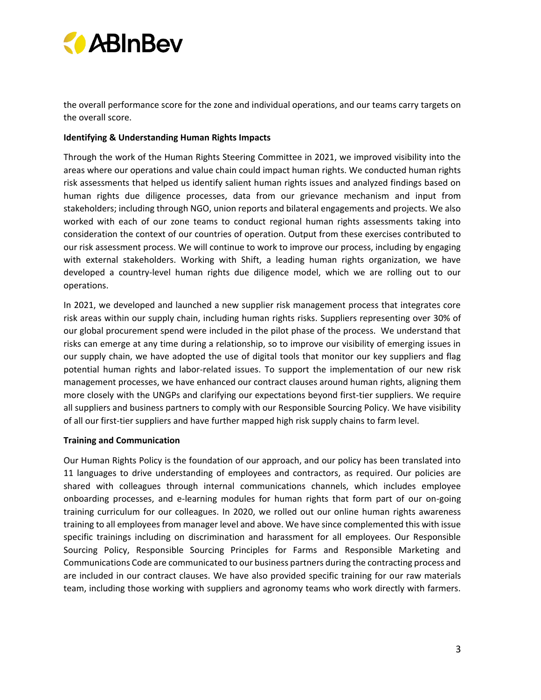

the overall performance score for the zone and individual operations, and our teams carry targets on the overall score.

#### **Identifying & Understanding Human Rights Impacts**

Through the work of the Human Rights Steering Committee in 2021, we improved visibility into the areas where our operations and value chain could impact human rights. We conducted human rights risk assessments that helped us identify salient human rights issues and analyzed findings based on human rights due diligence processes, data from our grievance mechanism and input from stakeholders; including through NGO, union reports and bilateral engagements and projects. We also worked with each of our zone teams to conduct regional human rights assessments taking into consideration the context of our countries of operation. Output from these exercises contributed to our risk assessment process. We will continue to work to improve our process, including by engaging with external stakeholders. Working with Shift, a leading human rights organization, we have developed a country-level human rights due diligence model, which we are rolling out to our operations.

In 2021, we developed and launched a new supplier risk management process that integrates core risk areas within our supply chain, including human rights risks. Suppliers representing over 30% of our global procurement spend were included in the pilot phase of the process. We understand that risks can emerge at any time during a relationship, so to improve our visibility of emerging issues in our supply chain, we have adopted the use of digital tools that monitor our key suppliers and flag potential human rights and labor-related issues. To support the implementation of our new risk management processes, we have enhanced our contract clauses around human rights, aligning them more closely with the UNGPs and clarifying our expectations beyond first-tier suppliers. We require all suppliers and business partners to comply with our Responsible Sourcing Policy. We have visibility of all our first-tier suppliers and have further mapped high risk supply chains to farm level.

#### **Training and Communication**

Our Human Rights Policy is the foundation of our approach, and our policy has been translated into 11 languages to drive understanding of employees and contractors, as required. Our policies are shared with colleagues through internal communications channels, which includes employee onboarding processes, and e-learning modules for human rights that form part of our on-going training curriculum for our colleagues. In 2020, we rolled out our online human rights awareness training to all employees from manager level and above. We have since complemented this with issue specific trainings including on discrimination and harassment for all employees. Our Responsible Sourcing Policy, Responsible Sourcing Principles for Farms and Responsible Marketing and Communications Code are communicated to our business partners during the contracting process and are included in our contract clauses. We have also provided specific training for our raw materials team, including those working with suppliers and agronomy teams who work directly with farmers.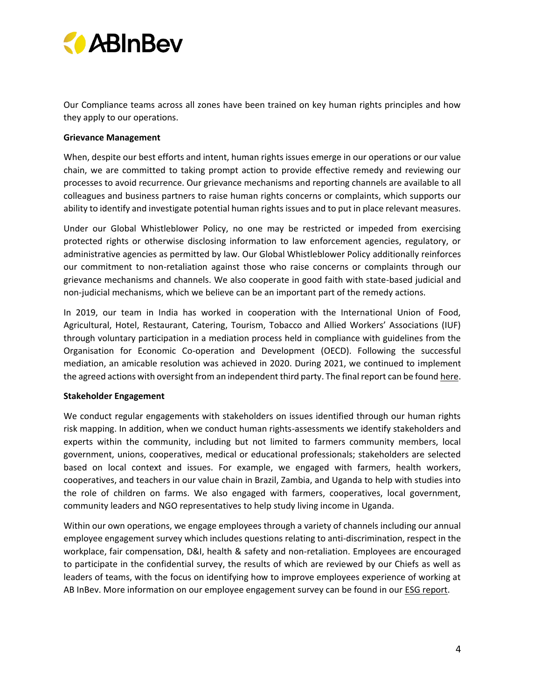

Our Compliance teams across all zones have been trained on key human rights principles and how they apply to our operations.

#### **Grievance Management**

When, despite our best efforts and intent, human rights issues emerge in our operations or our value chain, we are committed to taking prompt action to provide effective remedy and reviewing our processes to avoid recurrence. Our grievance mechanisms and reporting channels are available to all colleagues and business partners to raise human rights concerns or complaints, which supports our ability to identify and investigate potential human rights issues and to put in place relevant measures.

Under our Global Whistleblower Policy, no one may be restricted or impeded from exercising protected rights or otherwise disclosing information to law enforcement agencies, regulatory, or administrative agencies as permitted by law. Our Global Whistleblower Policy additionally reinforces our commitment to non-retaliation against those who raise concerns or complaints through our grievance mechanisms and channels. We also cooperate in good faith with state-based judicial and non-judicial mechanisms, which we believe can be an important part of the remedy actions.

In 2019, our team in India has worked in cooperation with the International Union of Food, Agricultural, Hotel, Restaurant, Catering, Tourism, Tobacco and Allied Workers' Associations (IUF) through voluntary participation in a mediation process held in compliance with guidelines from the Organisation for Economic Co-operation and Development (OECD). Following the successful mediation, an amicable resolution was achieved in 2020. During 2021, we continued to implement the agreed actions with oversight from an independent third party. The final report can be foun[d here.](https://economie.fgov.be/sites/default/files/Files/Entreprises/2nd-and-final-follow-up-statement-in-the-IUF-Ab-Inbev-Specific-instance.pdf)

#### **Stakeholder Engagement**

We conduct regular engagements with stakeholders on issues identified through our human rights risk mapping. In addition, when we conduct human rights-assessments we identify stakeholders and experts within the community, including but not limited to farmers community members, local government, unions, cooperatives, medical or educational professionals; stakeholders are selected based on local context and issues. For example, we engaged with farmers, health workers, cooperatives, and teachers in our value chain in Brazil, Zambia, and Uganda to help with studies into the role of children on farms. We also engaged with farmers, cooperatives, local government, community leaders and NGO representatives to help study living income in Uganda.

Within our own operations, we engage employees through a variety of channels including our annual employee engagement survey which includes questions relating to anti-discrimination, respect in the workplace, fair compensation, D&I, health & safety and non-retaliation. Employees are encouraged to participate in the confidential survey, the results of which are reviewed by our Chiefs as well as leaders of teams, with the focus on identifying how to improve employees experience of working at AB InBev. More information on our employee engagement survey can be found in our [ESG report.](https://www.ab-inbev.com/assets/pdfs/ABINBEV_ESG_2021_Final.pdf)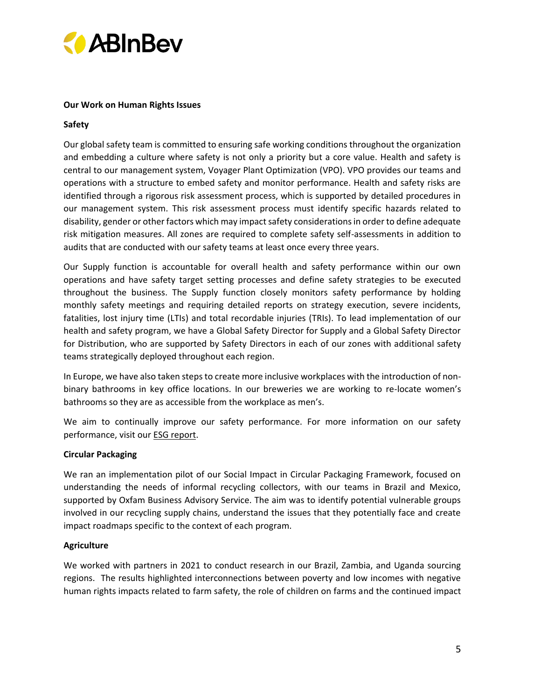

# **Our Work on Human Rights Issues**

## **Safety**

Our global safety team is committed to ensuring safe working conditions throughout the organization and embedding a culture where safety is not only a priority but a core value. Health and safety is central to our management system, Voyager Plant Optimization (VPO). VPO provides our teams and operations with a structure to embed safety and monitor performance. Health and safety risks are identified through a rigorous risk assessment process, which is supported by detailed procedures in our management system. This risk assessment process must identify specific hazards related to disability, gender or other factors which may impact safety considerations in order to define adequate risk mitigation measures. All zones are required to complete safety self-assessments in addition to audits that are conducted with our safety teams at least once every three years.

Our Supply function is accountable for overall health and safety performance within our own operations and have safety target setting processes and define safety strategies to be executed throughout the business. The Supply function closely monitors safety performance by holding monthly safety meetings and requiring detailed reports on strategy execution, severe incidents, fatalities, lost injury time (LTIs) and total recordable injuries (TRIs). To lead implementation of our health and safety program, we have a Global Safety Director for Supply and a Global Safety Director for Distribution, who are supported by Safety Directors in each of our zones with additional safety teams strategically deployed throughout each region.

In Europe, we have also taken steps to create more inclusive workplaces with the introduction of nonbinary bathrooms in key office locations. In our breweries we are working to re-locate women's bathrooms so they are as accessible from the workplace as men's.

We aim to continually improve our safety performance. For more information on our safety performance, visit ou[r ESG report.](https://www.ab-inbev.com/assets/pdfs/ABINBEV_ESG_2021_Final.pdf)

# **Circular Packaging**

We ran an implementation pilot of our Social Impact in Circular Packaging Framework, focused on understanding the needs of informal recycling collectors, with our teams in Brazil and Mexico, supported by Oxfam Business Advisory Service. The aim was to identify potential vulnerable groups involved in our recycling supply chains, understand the issues that they potentially face and create impact roadmaps specific to the context of each program.

#### **Agriculture**

We worked with partners in 2021 to conduct research in our Brazil, Zambia, and Uganda sourcing regions. The results highlighted interconnections between poverty and low incomes with negative human rights impacts related to farm safety, the role of children on farms and the continued impact